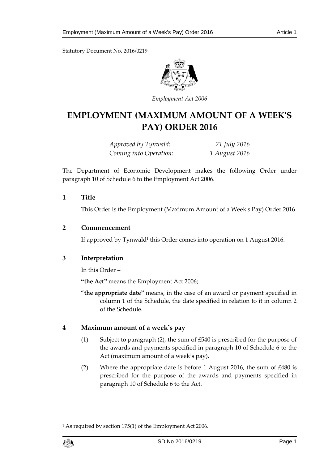Statutory Document No. 2016/0219



*Employment Act 2006*

# **EMPLOYMENT (MAXIMUM AMOUNT OF A WEEK'S PAY) ORDER 2016**

*Approved by Tynwald: 21 July 2016 Coming into Operation: 1 August 2016*

The Department of Economic Development makes the following Order under paragraph 10 of Schedule 6 to the Employment Act 2006.

#### **1 Title**

This Order is the Employment (Maximum Amount of a Week's Pay) Order 2016.

#### **2 Commencement**

If approved by Tynwald<sup>1</sup> this Order comes into operation on 1 August 2016.

## **3 Interpretation**

In this Order –

**"the Act"** means the Employment Act 2006;

"**the appropriate date"** means, in the case of an award or payment specified in column 1 of the Schedule, the date specified in relation to it in column 2 of the Schedule.

## **4 Maximum amount of a week's pay**

- (1) Subject to paragraph (2), the sum of £540 is prescribed for the purpose of the awards and payments specified in paragraph 10 of Schedule 6 to the Act (maximum amount of a week's pay).
- (2) Where the appropriate date is before 1 August 2016, the sum of £480 is prescribed for the purpose of the awards and payments specified in paragraph 10 of Schedule 6 to the Act.

<sup>1</sup> As required by section 175(1) of the Employment Act 2006.



1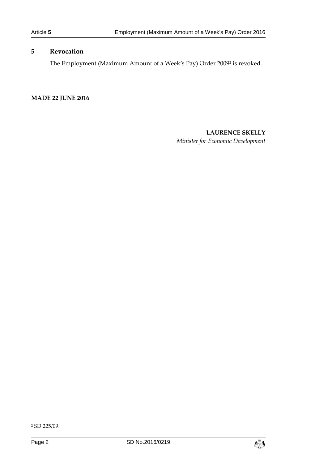## **5 Revocation**

The Employment (Maximum Amount of a Week's Pay) Order 2009<sup>2</sup> is revoked.

**MADE 22 JUNE 2016**

## **LAURENCE SKELLY**

*Minister for Economic Development*

-



<sup>2</sup> SD 225/09.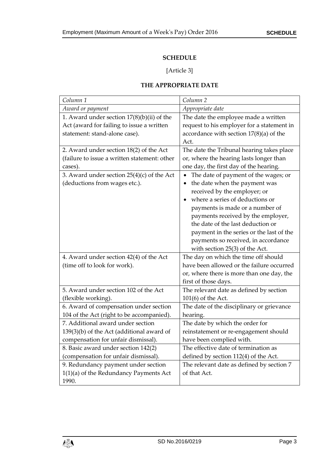# **SCHEDULE**

# [Article 3]

#### **THE APPROPRIATE DATE**

| Column <sub>1</sub>                          | Column <sub>2</sub>                        |
|----------------------------------------------|--------------------------------------------|
| Award or payment                             | Appropriate date                           |
| 1. Award under section $17(8)(b)(ii)$ of the | The date the employee made a written       |
| Act (award for failing to issue a written    | request to his employer for a statement in |
| statement: stand-alone case).                | accordance with section $17(8)(a)$ of the  |
|                                              | Act.                                       |
| 2. Award under section 18(2) of the Act      | The date the Tribunal hearing takes place  |
| (failure to issue a written statement: other | or, where the hearing lasts longer than    |
| cases).                                      | one day, the first day of the hearing.     |
| 3. Award under section $25(4)(c)$ of the Act | The date of payment of the wages; or       |
| (deductions from wages etc.).                | the date when the payment was<br>٠         |
|                                              | received by the employer; or               |
|                                              | where a series of deductions or            |
|                                              | payments is made or a number of            |
|                                              | payments received by the employer,         |
|                                              | the date of the last deduction or          |
|                                              | payment in the series or the last of the   |
|                                              | payments so received, in accordance        |
|                                              | with section $25(3)$ of the Act.           |
| 4. Award under section 42(4) of the Act      | The day on which the time off should       |
| (time off to look for work).                 | have been allowed or the failure occurred  |
|                                              | or, where there is more than one day, the  |
|                                              | first of those days.                       |
| 5. Award under section 102 of the Act        | The relevant date as defined by section    |
| (flexible working).                          | 101(6) of the Act.                         |
| 6. Award of compensation under section       | The date of the disciplinary or grievance  |
| 104 of the Act (right to be accompanied).    | hearing.                                   |
| 7. Additional award under section            | The date by which the order for            |
| $139(3)(b)$ of the Act (additional award of  | reinstatement or re-engagement should      |
| compensation for unfair dismissal).          | have been complied with.                   |
| 8. Basic award under section 142(2)          | The effective date of termination as       |
| (compensation for unfair dismissal).         | defined by section 112(4) of the Act.      |
| 9. Redundancy payment under section          | The relevant date as defined by section 7  |
| $1(1)(a)$ of the Redundancy Payments Act     | of that Act.                               |
| 1990.                                        |                                            |